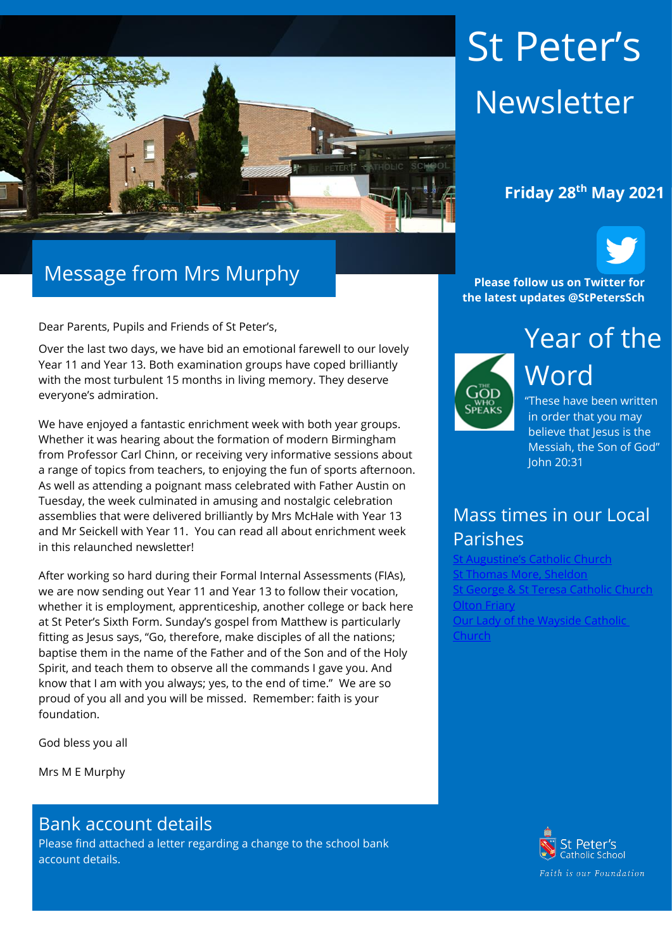

### Message from Mrs Murphy

Dear Parents, Pupils and Friends of St Peter's,

Over the last two days, we have bid an emotional farewell to our lovely Year 11 and Year 13. Both examination groups have coped brilliantly with the most turbulent 15 months in living memory. They deserve everyone's admiration.

We have enjoyed a fantastic enrichment week with both year groups. Whether it was hearing about the formation of modern Birmingham from Professor Carl Chinn, or receiving very informative sessions about a range of topics from teachers, to enjoying the fun of sports afternoon. As well as attending a poignant mass celebrated with Father Austin on Tuesday, the week culminated in amusing and nostalgic celebration assemblies that were delivered brilliantly by Mrs McHale with Year 13 and Mr Seickell with Year 11. You can read all about enrichment week in this relaunched newsletter!

After working so hard during their Formal Internal Assessments (FIAs), we are now sending out Year 11 and Year 13 to follow their vocation, whether it is employment, apprenticeship, another college or back here at St Peter's Sixth Form. Sunday's gospel from Matthew is particularly fitting as Jesus says, "Go, therefore, make disciples of all the nations; baptise them in the name of the Father and of the Son and of the Holy Spirit, and teach them to observe all the commands I gave you. And know that I am with you always; yes, to the end of time." We are so proud of you all and you will be missed. Remember: faith is your foundation.

God bless you all

Mrs M E Murphy

#### Bank account details

Please find attached a letter regarding a change to the school bank account details.

# St Peter's Newsletter

### **Friday 28th May 2021**



**Please follow us on Twitter for the latest updates @StPetersSch**



Word "These have been written in order that you may believe that lesus is the Messiah, the Son of God"

### Mass times in our Local Parishes

John 20:31

stine's Catholic Church nas More, Sheldor ieorge & St Teresa Catholic Church **[Olton Friary](https://www.oltonfriary.org.uk/)** [Our Lady of the Wayside Catholic](http://ourladyofthewaysidechurchshirley.co.uk/)  **[Church](http://ourladyofthewaysidechurchshirley.co.uk/)** 

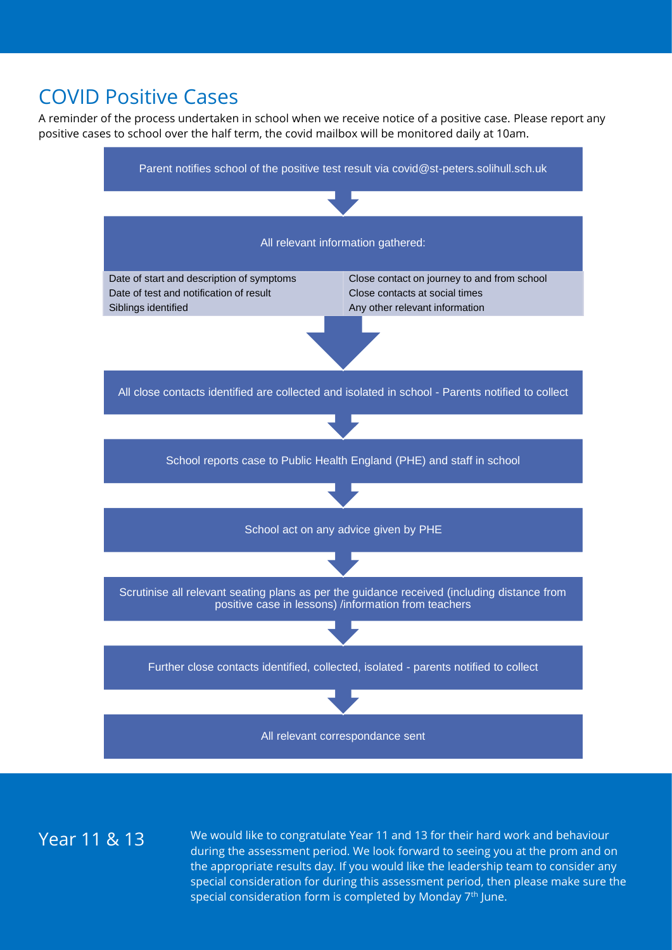### COVID Positive Cases

A reminder of the process undertaken in school when we receive notice of a positive case. Please report any positive cases to school over the half term, the covid mailbox will be monitored daily at 10am.



Year 11 & 13 We would like to congratulate Year 11 and 13 for their hard work and behaviour during the assessment period. We look forward to seeing you at the prom and on the appropriate results day. If you would like the leadership team to consider any special consideration for during this assessment period, then please make sure the special consideration form is completed by Monday  $7<sup>th</sup>$  June.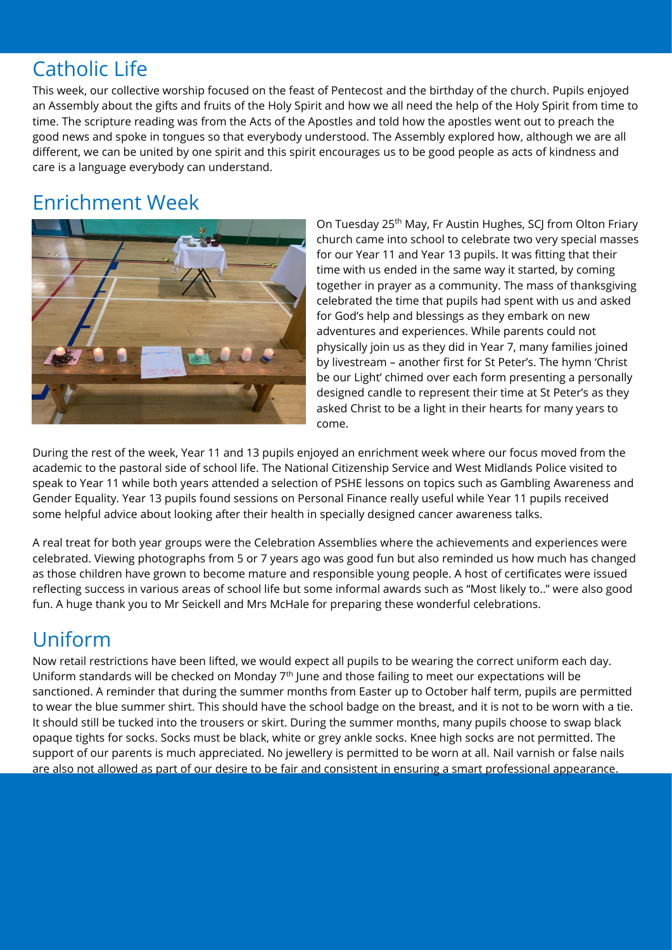### Catholic Life

This week, our collective worship focused on the feast of Pentecost and the birthday of the church. Pupils enjoyed an Assembly about the gifts and fruits of the Holy Spirit and how we all need the help of the Holy Spirit from time to time. The scripture reading was from the Acts of the Apostles and told how the apostles went out to preach the good news and spoke in tongues so that everybody understood. The Assembly explored how, although we are all different, we can be united by one spirit and this spirit encourages us to be good people as acts of kindness and care is a language everybody can understand.

### Enrichment Week



On Tuesday 25<sup>th</sup> May, Fr Austin Hughes, SCJ from Olton Friary church came into school to celebrate two very special masses for our Year 11 and Year 13 pupils. It was fitting that their time with us ended in the same way it started, by coming together in prayer as a community. The mass of thanksgiving celebrated the time that pupils had spent with us and asked for God's help and blessings as they embark on new adventures and experiences. While parents could not physically join us as they did in Year 7, many families joined by livestream – another first for St Peter's. The hymn 'Christ be our Light' chimed over each form presenting a personally designed candle to represent their time at St Peter's as they asked Christ to be a light in their hearts for many years to come.

During the rest of the week, Year 11 and 13 pupils enjoyed an enrichment week where our focus moved from the academic to the pastoral side of school life. The National Citizenship Service and West Midlands Police visited to speak to Year 11 while both years attended a selection of PSHE lessons on topics such as Gambling Awareness and Gender Equality. Year 13 pupils found sessions on Personal Finance really useful while Year 11 pupils received some helpful advice about looking after their health in specially designed cancer awareness talks.

A real treat for both year groups were the Celebration Assemblies where the achievements and experiences were celebrated. Viewing photographs from 5 or 7 years ago was good fun but also reminded us how much has changed as those children have grown to become mature and responsible young people. A host of certificates were issued reflecting success in various areas of school life but some informal awards such as "Most likely to.." were also good fun. A huge thank you to Mr Seickell and Mrs McHale for preparing these wonderful celebrations.

### Uniform

Now retail restrictions have been lifted, we would expect all pupils to be wearing the correct uniform each day. Uniform standards will be checked on Monday 7<sup>th</sup> June and those failing to meet our expectations will be sanctioned. A reminder that during the summer months from Easter up to October half term, pupils are permitted to wear the blue summer shirt. This should have the school badge on the breast, and it is not to be worn with a tie. It should still be tucked into the trousers or skirt. During the summer months, many pupils choose to swap black opaque tights for socks. Socks must be black, white or grey ankle socks. Knee high socks are not permitted. The support of our parents is much appreciated. No jewellery is permitted to be worn at all. Nail varnish or false nails are also not allowed as part of our desire to be fair and consistent in ensuring a smart professional appearance.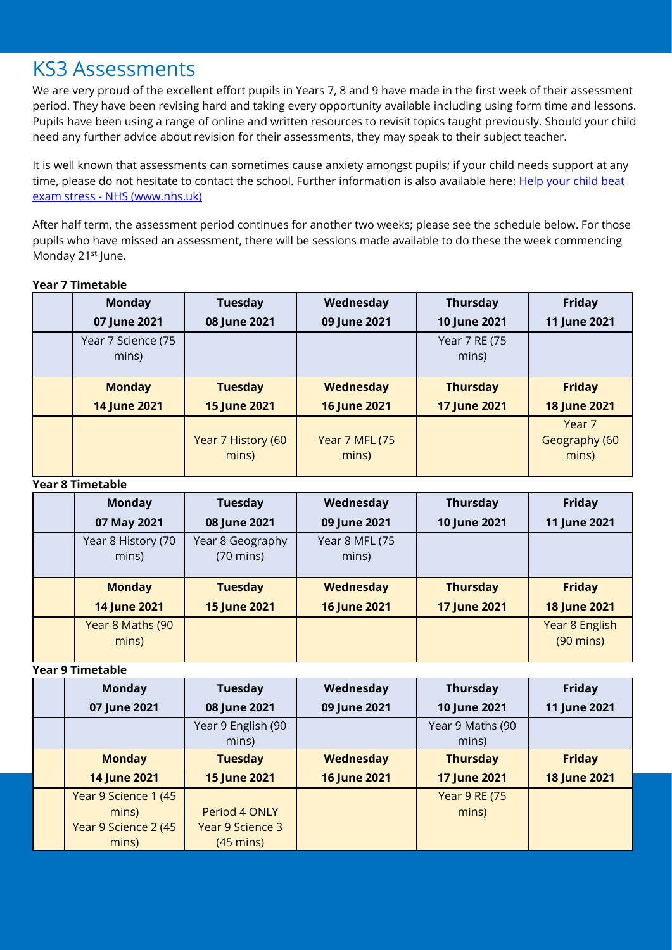### KS3 Assessments

We are very proud of the excellent effort pupils in Years 7, 8 and 9 have made in the first week of their assessment period. They have been revising hard and taking every opportunity available including using form time and lessons. Pupils have been using a range of online and written resources to revisit topics taught previously. Should your child need any further advice about revision for their assessments, they may speak to their subject teacher.

It is well known that assessments can sometimes cause anxiety amongst pupils; if your child needs support at any time, please do not hesitate to contact the school. Further information is also available here: Help your child beat exam stress - [NHS \(www.nhs.uk\)](https://www.nhs.uk/mental-health/children-and-young-adults/advice-for-parents/help-your-child-beat-exam-stress/)

After half term, the assessment period continues for another two weeks; please see the schedule below. For those pupils who have missed an assessment, there will be sessions made available to do these the week commencing Monday 21<sup>st</sup> June.

#### **Year 7 Timetable**

| <b>Monday</b>               | <b>Tuesday</b>              | Wednesday                       | <b>Thursday</b>        | <b>Friday</b>                               |
|-----------------------------|-----------------------------|---------------------------------|------------------------|---------------------------------------------|
| 07 June 2021                | 08 June 2021                | 09 June 2021                    | 10 June 2021           | 11 June 2021                                |
| Year 7 Science (75<br>mins) |                             |                                 | Year 7 RE (75<br>mins) |                                             |
| <b>Monday</b>               | <b>Tuesday</b>              | <b>Wednesday</b>                | <b>Thursday</b>        | <b>Friday</b>                               |
| 14 June 2021                | <b>15 June 2021</b>         | 16 June 2021                    | <b>17 June 2021</b>    | <b>18 June 2021</b>                         |
|                             | Year 7 History (60<br>mins) | <b>Year 7 MFL (75)</b><br>mins) |                        | Year <sub>7</sub><br>Geography (60<br>mins) |

#### **Year 8 Timetable**

| <b>Monday</b>               | <b>Tuesday</b>                          | Wednesday               | <b>Thursday</b>     | <b>Friday</b>                         |
|-----------------------------|-----------------------------------------|-------------------------|---------------------|---------------------------------------|
| 07 May 2021                 | 08 June 2021                            | 09 June 2021            | 10 June 2021        | 11 June 2021                          |
| Year 8 History (70<br>mins) | Year 8 Geography<br>$(70 \text{ mins})$ | Year 8 MFL (75<br>mins) |                     |                                       |
| <b>Monday</b>               | <b>Tuesday</b>                          | <b>Wednesday</b>        | <b>Thursday</b>     | <b>Friday</b>                         |
| 14 June 2021                | <b>15 June 2021</b>                     | <b>16 June 2021</b>     | <b>17 June 2021</b> | <b>18 June 2021</b>                   |
| Year 8 Maths (90<br>mins)   |                                         |                         |                     | Year 8 English<br>$(90 \text{ mins})$ |

#### **Year 9 Timetable**

| <b>Monday</b>        | <b>Tuesday</b>      | Wednesday           | <b>Thursday</b>      | Friday              |
|----------------------|---------------------|---------------------|----------------------|---------------------|
| 07 June 2021         | 08 June 2021        | 09 June 2021        | 10 June 2021         | 11 June 2021        |
|                      | Year 9 English (90  |                     | Year 9 Maths (90     |                     |
|                      | mins)               |                     | mins)                |                     |
| <b>Monday</b>        | <b>Tuesday</b>      | Wednesday           | <b>Thursday</b>      | <b>Friday</b>       |
| 14 June 2021         | <b>15 June 2021</b> | <b>16 June 2021</b> | <b>17 June 2021</b>  | <b>18 June 2021</b> |
| Year 9 Science 1 (45 |                     |                     | <b>Year 9 RE (75</b> |                     |
| mins)                | Period 4 ONLY       |                     | mins)                |                     |
| Year 9 Science 2 (45 | Year 9 Science 3    |                     |                      |                     |
| mins)                | $(45 \text{ mins})$ |                     |                      |                     |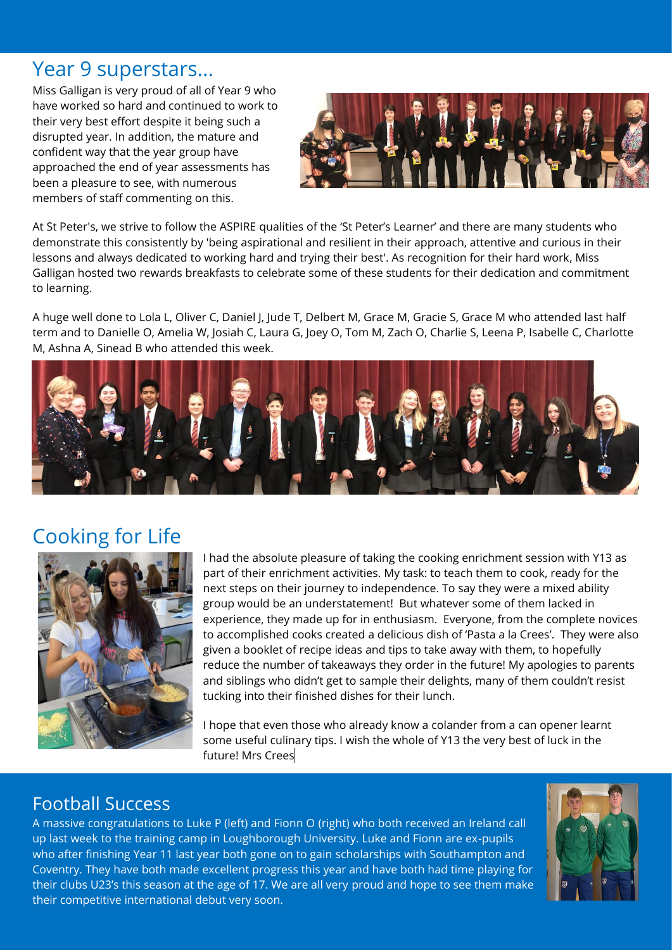### Year 9 superstars...

Miss Galligan is very proud of all of Year 9 who have worked so hard and continued to work to their very best effort despite it being such a disrupted year. In addition, the mature and confident way that the year group have approached the end of year assessments has been a pleasure to see, with numerous members of staff commenting on this.



At St Peter's, we strive to follow the ASPIRE qualities of the 'St Peter's Learner' and there are many students who demonstrate this consistently by 'being aspirational and resilient in their approach, attentive and curious in their lessons and always dedicated to working hard and trying their best'. As recognition for their hard work, Miss Galligan hosted two rewards breakfasts to celebrate some of these students for their dedication and commitment to learning.

A huge well done to Lola L, Oliver C, Daniel J, Jude T, Delbert M, Grace M, Gracie S, Grace M who attended last half term and to Danielle O, Amelia W, Josiah C, Laura G, Joey O, Tom M, Zach O, Charlie S, Leena P, Isabelle C, Charlotte M, Ashna A, Sinead B who attended this week.



### Cooking for Life



I had the absolute pleasure of taking the cooking enrichment session with Y13 as part of their enrichment activities. My task: to teach them to cook, ready for the next steps on their journey to independence. To say they were a mixed ability group would be an understatement! But whatever some of them lacked in experience, they made up for in enthusiasm. Everyone, from the complete novices to accomplished cooks created a delicious dish of 'Pasta a la Crees'. They were also given a booklet of recipe ideas and tips to take away with them, to hopefully reduce the number of takeaways they order in the future! My apologies to parents and siblings who didn't get to sample their delights, many of them couldn't resist tucking into their finished dishes for their lunch.

I hope that even those who already know a colander from a can opener learnt some useful culinary tips. I wish the whole of Y13 the very best of luck in the future! Mrs Crees

### Football Success

A massive congratulations to Luke P (left) and Fionn O (right) who both received an Ireland call up last week to the training camp in Loughborough University. Luke and Fionn are ex-pupils who after finishing Year 11 last year both gone on to gain scholarships with Southampton and Coventry. They have both made excellent progress this year and have both had time playing for their clubs U23's this season at the age of 17. We are all very proud and hope to see them make their competitive international debut very soon.

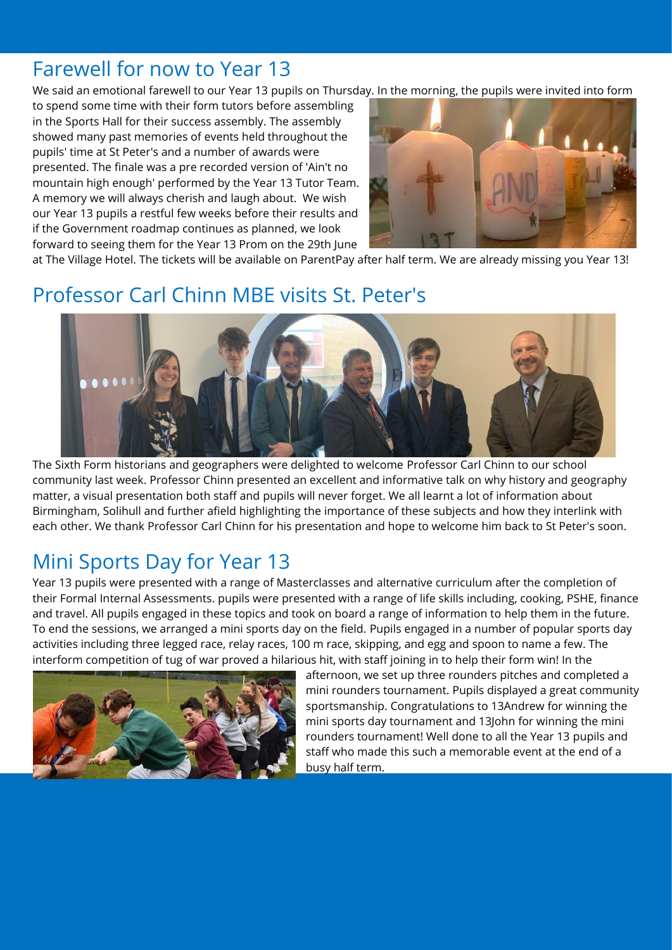### Farewell for now to Year 13

We said an emotional farewell to our Year 13 pupils on Thursday. In the morning, the pupils were invited into form

to spend some time with their form tutors before assembling in the Sports Hall for their success assembly. The assembly showed many past memories of events held throughout the pupils' time at St Peter's and a number of awards were presented. The finale was a pre recorded version of 'Ain't no mountain high enough' performed by the Year 13 Tutor Team. A memory we will always cherish and laugh about. We wish our Year 13 pupils a restful few weeks before their results and if the Government roadmap continues as planned, we look forward to seeing them for the Year 13 Prom on the 29th June



at The Village Hotel. The tickets will be available on ParentPay after half term. We are already missing you Year 13!

### Professor Carl Chinn MBE visits St. Peter's



The Sixth Form historians and geographers were delighted to welcome Professor Carl Chinn to our school community last week. Professor Chinn presented an excellent and informative talk on why history and geography matter, a visual presentation both staff and pupils will never forget. We all learnt a lot of information about Birmingham, Solihull and further afield highlighting the importance of these subjects and how they interlink with each other. We thank Professor Carl Chinn for his presentation and hope to welcome him back to St Peter's soon.

### Mini Sports Day for Year 13

Year 13 pupils were presented with a range of Masterclasses and alternative curriculum after the completion of their Formal Internal Assessments. pupils were presented with a range of life skills including, cooking, PSHE, finance and travel. All pupils engaged in these topics and took on board a range of information to help them in the future. To end the sessions, we arranged a mini sports day on the field. Pupils engaged in a number of popular sports day activities including three legged race, relay races, 100 m race, skipping, and egg and spoon to name a few. The interform competition of tug of war proved a hilarious hit, with staff joining in to help their form win! In the



afternoon, we set up three rounders pitches and completed a mini rounders tournament. Pupils displayed a great community sportsmanship. Congratulations to 13Andrew for winning the mini sports day tournament and 13John for winning the mini rounders tournament! Well done to all the Year 13 pupils and staff who made this such a memorable event at the end of a busy half term.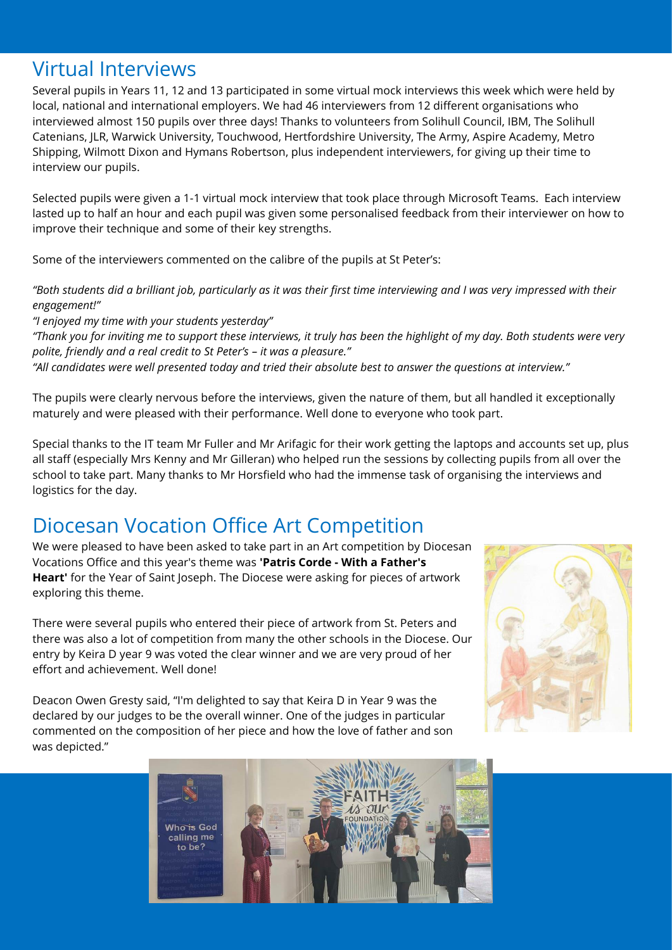### Virtual Interviews

Several pupils in Years 11, 12 and 13 participated in some virtual mock interviews this week which were held by local, national and international employers. We had 46 interviewers from 12 different organisations who interviewed almost 150 pupils over three days! Thanks to volunteers from Solihull Council, IBM, The Solihull Catenians, JLR, Warwick University, Touchwood, Hertfordshire University, The Army, Aspire Academy, Metro Shipping, Wilmott Dixon and Hymans Robertson, plus independent interviewers, for giving up their time to interview our pupils.

Selected pupils were given a 1-1 virtual mock interview that took place through Microsoft Teams. Each interview lasted up to half an hour and each pupil was given some personalised feedback from their interviewer on how to improve their technique and some of their key strengths.

Some of the interviewers commented on the calibre of the pupils at St Peter's:

*"Both students did a brilliant job, particularly as it was their first time interviewing and I was very impressed with their engagement!"*

*"I enjoyed my time with your students yesterday" "Thank you for inviting me to support these interviews, it truly has been the highlight of my day. Both students were very polite, friendly and a real credit to St Peter's – it was a pleasure." "All candidates were well presented today and tried their absolute best to answer the questions at interview."*

The pupils were clearly nervous before the interviews, given the nature of them, but all handled it exceptionally maturely and were pleased with their performance. Well done to everyone who took part.

Special thanks to the IT team Mr Fuller and Mr Arifagic for their work getting the laptops and accounts set up, plus all staff (especially Mrs Kenny and Mr Gilleran) who helped run the sessions by collecting pupils from all over the school to take part. Many thanks to Mr Horsfield who had the immense task of organising the interviews and logistics for the day.

## Diocesan Vocation Office Art Competition

We were pleased to have been asked to take part in an Art competition by Diocesan Vocations Office and this year's theme was **'Patris Corde - With a Father's Heart'** for the Year of Saint Joseph. The Diocese were asking for pieces of artwork exploring this theme.

There were several pupils who entered their piece of artwork from St. Peters and there was also a lot of competition from many the other schools in the Diocese. Our entry by Keira D year 9 was voted the clear winner and we are very proud of her effort and achievement. Well done!

Deacon Owen Gresty said, "I'm delighted to say that Keira D in Year 9 was the declared by our judges to be the overall winner. One of the judges in particular commented on the composition of her piece and how the love of father and son was depicted."